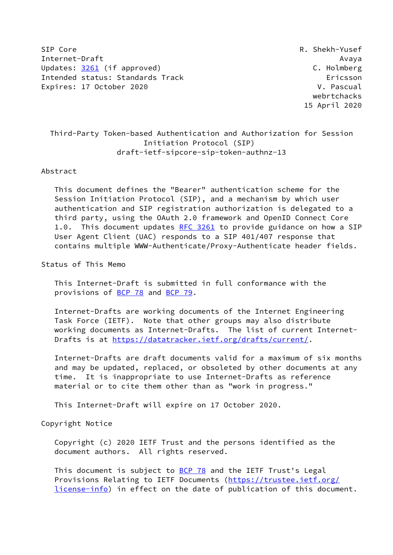SIP Core R. Shekh-Yusef Internet-Draft Avaya Updates: [3261](https://datatracker.ietf.org/doc/pdf/rfc3261) (if approved) C. Holmberg Intended status: Standards Track Ericsson Expires: 17 October 2020 **V. Pascual** 

 webrtchacks 15 April 2020

# Third-Party Token-based Authentication and Authorization for Session Initiation Protocol (SIP) draft-ietf-sipcore-sip-token-authnz-13

### Abstract

 This document defines the "Bearer" authentication scheme for the Session Initiation Protocol (SIP), and a mechanism by which user authentication and SIP registration authorization is delegated to a third party, using the OAuth 2.0 framework and OpenID Connect Core 1.0. This document updates [RFC 3261](https://datatracker.ietf.org/doc/pdf/rfc3261) to provide guidance on how a SIP User Agent Client (UAC) responds to a SIP 401/407 response that contains multiple WWW-Authenticate/Proxy-Authenticate header fields.

Status of This Memo

 This Internet-Draft is submitted in full conformance with the provisions of [BCP 78](https://datatracker.ietf.org/doc/pdf/bcp78) and [BCP 79](https://datatracker.ietf.org/doc/pdf/bcp79).

 Internet-Drafts are working documents of the Internet Engineering Task Force (IETF). Note that other groups may also distribute working documents as Internet-Drafts. The list of current Internet- Drafts is at<https://datatracker.ietf.org/drafts/current/>.

 Internet-Drafts are draft documents valid for a maximum of six months and may be updated, replaced, or obsoleted by other documents at any time. It is inappropriate to use Internet-Drafts as reference material or to cite them other than as "work in progress."

This Internet-Draft will expire on 17 October 2020.

Copyright Notice

 Copyright (c) 2020 IETF Trust and the persons identified as the document authors. All rights reserved.

This document is subject to **[BCP 78](https://datatracker.ietf.org/doc/pdf/bcp78)** and the IETF Trust's Legal Provisions Relating to IETF Documents ([https://trustee.ietf.org/](https://trustee.ietf.org/license-info) [license-info](https://trustee.ietf.org/license-info)) in effect on the date of publication of this document.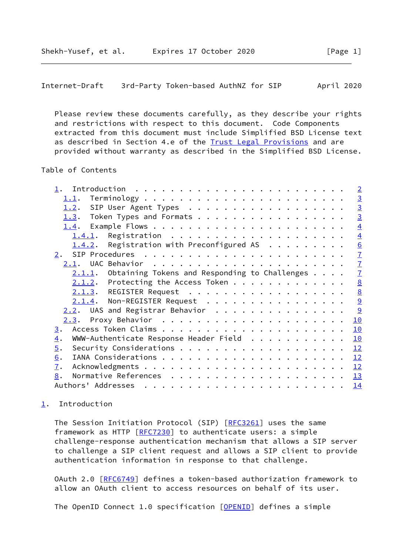```
Internet-Draft 3rd-Party Token-based AuthNZ for SIP April 2020
```
 Please review these documents carefully, as they describe your rights and restrictions with respect to this document. Code Components extracted from this document must include Simplified BSD License text as described in Section 4.e of the **[Trust Legal Provisions](https://trustee.ietf.org/license-info)** and are provided without warranty as described in the Simplified BSD License.

# Table of Contents

|                  |                                                        |  |  |  |  |  | $\overline{2}$  |
|------------------|--------------------------------------------------------|--|--|--|--|--|-----------------|
|                  | 1.1.                                                   |  |  |  |  |  | $\overline{3}$  |
|                  | SIP User Agent Types<br>1.2.                           |  |  |  |  |  | $\overline{3}$  |
|                  | Token Types and Formats<br>1.3.                        |  |  |  |  |  | $\overline{3}$  |
|                  | 1.4.                                                   |  |  |  |  |  | $\overline{4}$  |
|                  | 1.4.1.                                                 |  |  |  |  |  | $\overline{4}$  |
|                  | 1.4.2. Registration with Preconfigured AS              |  |  |  |  |  | 6               |
|                  | $2 \cdot$                                              |  |  |  |  |  | $\overline{1}$  |
|                  | 2.1.                                                   |  |  |  |  |  | $\mathbf{Z}$    |
|                  | $2.1.1.$ Obtaining Tokens and Responding to Challenges |  |  |  |  |  | $\overline{1}$  |
|                  | $2.1.2$ . Protecting the Access Token                  |  |  |  |  |  | 8               |
|                  | 2.1.3. REGISTER Request                                |  |  |  |  |  | $\underline{8}$ |
|                  | 2.1.4. Non-REGISTER Request                            |  |  |  |  |  | 9               |
|                  | $2.2$ . UAS and Registrar Behavior                     |  |  |  |  |  | 9               |
|                  |                                                        |  |  |  |  |  | 10              |
| $\overline{3}$ . |                                                        |  |  |  |  |  | 10              |
| $\overline{4}$ . | WWW-Authenticate Response Header Field                 |  |  |  |  |  | 10              |
| $\overline{5}$ . |                                                        |  |  |  |  |  | 12              |
| 6.               |                                                        |  |  |  |  |  | 12              |
| $\overline{1}$ . |                                                        |  |  |  |  |  | 12              |
| 8.               |                                                        |  |  |  |  |  | 13              |
|                  | Authors' Addresses                                     |  |  |  |  |  | 14              |
|                  |                                                        |  |  |  |  |  |                 |

# <span id="page-1-0"></span>[1](#page-1-0). Introduction

The Session Initiation Protocol (SIP) [[RFC3261](https://datatracker.ietf.org/doc/pdf/rfc3261)] uses the same framework as HTTP [[RFC7230](https://datatracker.ietf.org/doc/pdf/rfc7230)] to authenticate users: a simple challenge-response authentication mechanism that allows a SIP server to challenge a SIP client request and allows a SIP client to provide authentication information in response to that challenge.

 OAuth 2.0 [[RFC6749](https://datatracker.ietf.org/doc/pdf/rfc6749)] defines a token-based authorization framework to allow an OAuth client to access resources on behalf of its user.

The OpenID Connect 1.0 specification [\[OPENID](#page-13-2)] defines a simple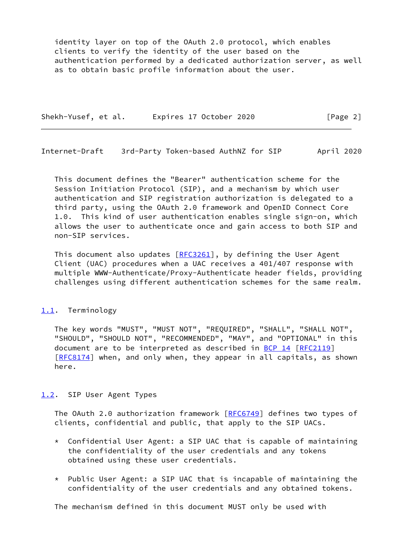identity layer on top of the OAuth 2.0 protocol, which enables clients to verify the identity of the user based on the authentication performed by a dedicated authorization server, as well as to obtain basic profile information about the user.

Shekh-Yusef, et al. Expires 17 October 2020 [Page 2]

<span id="page-2-1"></span>Internet-Draft 3rd-Party Token-based AuthNZ for SIP April 2020

 This document defines the "Bearer" authentication scheme for the Session Initiation Protocol (SIP), and a mechanism by which user authentication and SIP registration authorization is delegated to a third party, using the OAuth 2.0 framework and OpenID Connect Core 1.0. This kind of user authentication enables single sign-on, which allows the user to authenticate once and gain access to both SIP and non-SIP services.

This document also updates  $[REC3261]$ , by defining the User Agent Client (UAC) procedures when a UAC receives a 401/407 response with multiple WWW-Authenticate/Proxy-Authenticate header fields, providing challenges using different authentication schemes for the same realm.

## <span id="page-2-0"></span>[1.1](#page-2-0). Terminology

 The key words "MUST", "MUST NOT", "REQUIRED", "SHALL", "SHALL NOT", "SHOULD", "SHOULD NOT", "RECOMMENDED", "MAY", and "OPTIONAL" in this document are to be interpreted as described in [BCP 14](https://datatracker.ietf.org/doc/pdf/bcp14) [[RFC2119](https://datatracker.ietf.org/doc/pdf/rfc2119)] [\[RFC8174](https://datatracker.ietf.org/doc/pdf/rfc8174)] when, and only when, they appear in all capitals, as shown here.

## <span id="page-2-2"></span>[1.2](#page-2-2). SIP User Agent Types

The OAuth 2.0 authorization framework [[RFC6749](https://datatracker.ietf.org/doc/pdf/rfc6749)] defines two types of clients, confidential and public, that apply to the SIP UACs.

- \* Confidential User Agent: a SIP UAC that is capable of maintaining the confidentiality of the user credentials and any tokens obtained using these user credentials.
- $*$  Public User Agent: a SIP UAC that is incapable of maintaining the confidentiality of the user credentials and any obtained tokens.

The mechanism defined in this document MUST only be used with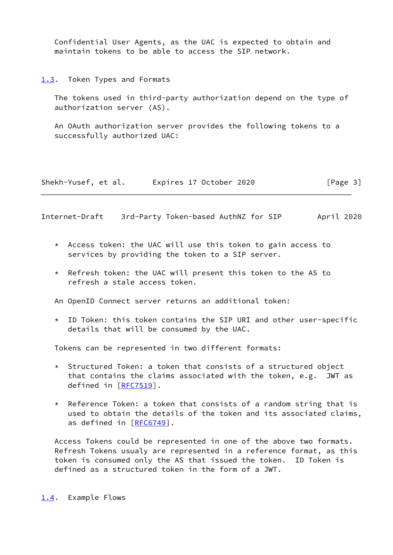Confidential User Agents, as the UAC is expected to obtain and maintain tokens to be able to access the SIP network.

<span id="page-3-0"></span>[1.3](#page-3-0). Token Types and Formats

 The tokens used in third-party authorization depend on the type of authorization server (AS).

 An OAuth authorization server provides the following tokens to a successfully authorized UAC:

Shekh-Yusef, et al. Expires 17 October 2020 [Page 3]

<span id="page-3-2"></span>Internet-Draft 3rd-Party Token-based AuthNZ for SIP April 2020

- \* Access token: the UAC will use this token to gain access to services by providing the token to a SIP server.
- \* Refresh token: the UAC will present this token to the AS to refresh a stale access token.

An OpenID Connect server returns an additional token:

 \* ID Token: this token contains the SIP URI and other user-specific details that will be consumed by the UAC.

Tokens can be represented in two different formats:

- \* Structured Token: a token that consists of a structured object that contains the claims associated with the token, e.g. JWT as defined in [[RFC7519](https://datatracker.ietf.org/doc/pdf/rfc7519)].
- \* Reference Token: a token that consists of a random string that is used to obtain the details of the token and its associated claims, as defined in [\[RFC6749](https://datatracker.ietf.org/doc/pdf/rfc6749)].

 Access Tokens could be represented in one of the above two formats. Refresh Tokens usualy are represented in a reference format, as this token is consumed only the AS that issued the token. ID Token is defined as a structured token in the form of a JWT.

<span id="page-3-1"></span>[1.4](#page-3-1). Example Flows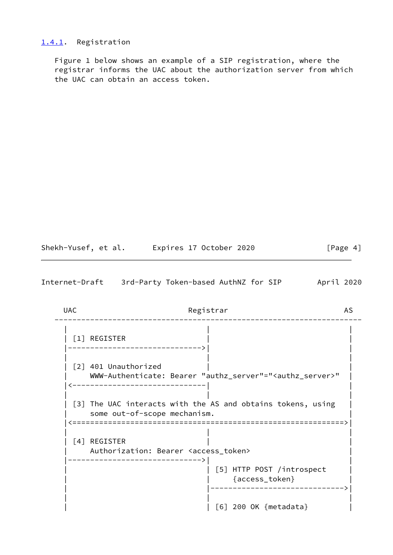### <span id="page-4-0"></span>[1.4.1](#page-4-0). Registration

 Figure 1 below shows an example of a SIP registration, where the registrar informs the UAC about the authorization server from which the UAC can obtain an access token.

Shekh-Yusef, et al. Expires 17 October 2020 [Page 4]

Internet-Draft 3rd-Party Token-based AuthNZ for SIP April 2020

UAC Registrar AS --------------------------------------------------------------------- | | | | [1] REGISTER | | |------------------------------>| | | | | | [2] 401 Unauthorized | | | WWW-Authenticate: Bearer "authz\_server"="<authz\_server>" | |<------------------------------| | | | | | [3] The UAC interacts with the AS and obtains tokens, using | some out-of-scope mechanism. |<=============================================================>| | | | | [4] REGISTER | | Authorization: Bearer <access\_token> |------------------------------>| | | [5] HTTP POST /introspect | | | {access\_token} | | |------------------------------>| | | | | | [6] 200 OK {metadata} |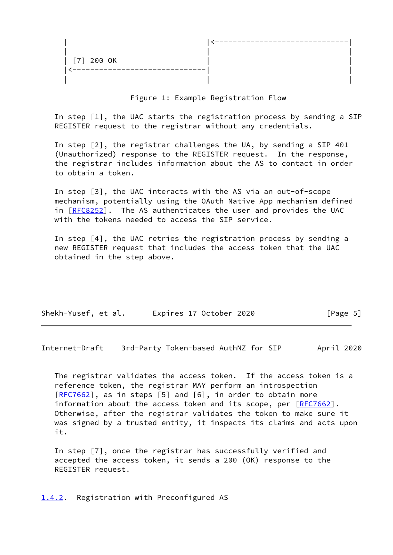| [7] 200 OK |  |
|------------|--|
|            |  |
|            |  |

Figure 1: Example Registration Flow

 In step [1], the UAC starts the registration process by sending a SIP REGISTER request to the registrar without any credentials.

 In step [2], the registrar challenges the UA, by sending a SIP 401 (Unauthorized) response to the REGISTER request. In the response, the registrar includes information about the AS to contact in order to obtain a token.

 In step [3], the UAC interacts with the AS via an out-of-scope mechanism, potentially using the OAuth Native App mechanism defined in [[RFC8252\]](https://datatracker.ietf.org/doc/pdf/rfc8252). The AS authenticates the user and provides the UAC with the tokens needed to access the SIP service.

 In step [4], the UAC retries the registration process by sending a new REGISTER request that includes the access token that the UAC obtained in the step above.

| Shekh-Yusef, et al. | Expires 17 October 2020 | [Page 5] |
|---------------------|-------------------------|----------|
|                     |                         |          |

<span id="page-5-1"></span>Internet-Draft 3rd-Party Token-based AuthNZ for SIP April 2020

 The registrar validates the access token. If the access token is a reference token, the registrar MAY perform an introspection [\[RFC7662](https://datatracker.ietf.org/doc/pdf/rfc7662)], as in steps [5] and [6], in order to obtain more information about the access token and its scope, per [[RFC7662](https://datatracker.ietf.org/doc/pdf/rfc7662)]. Otherwise, after the registrar validates the token to make sure it was signed by a trusted entity, it inspects its claims and acts upon it.

 In step [7], once the registrar has successfully verified and accepted the access token, it sends a 200 (OK) response to the REGISTER request.

<span id="page-5-0"></span>[1.4.2](#page-5-0). Registration with Preconfigured AS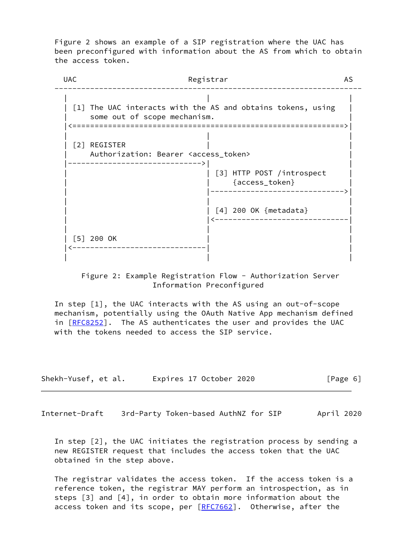Figure 2 shows an example of a SIP registration where the UAC has been preconfigured with information about the AS from which to obtain the access token.



 Figure 2: Example Registration Flow - Authorization Server Information Preconfigured

 In step [1], the UAC interacts with the AS using an out-of-scope mechanism, potentially using the OAuth Native App mechanism defined in [[RFC8252\]](https://datatracker.ietf.org/doc/pdf/rfc8252). The AS authenticates the user and provides the UAC with the tokens needed to access the SIP service.

| Shekh-Yusef, et al. | Expires 17 October 2020 | [Page 6] |
|---------------------|-------------------------|----------|
|---------------------|-------------------------|----------|

<span id="page-6-0"></span>Internet-Draft 3rd-Party Token-based AuthNZ for SIP April 2020

 In step [2], the UAC initiates the registration process by sending a new REGISTER request that includes the access token that the UAC obtained in the step above.

 The registrar validates the access token. If the access token is a reference token, the registrar MAY perform an introspection, as in steps [3] and [4], in order to obtain more information about the access token and its scope, per [\[RFC7662](https://datatracker.ietf.org/doc/pdf/rfc7662)]. Otherwise, after the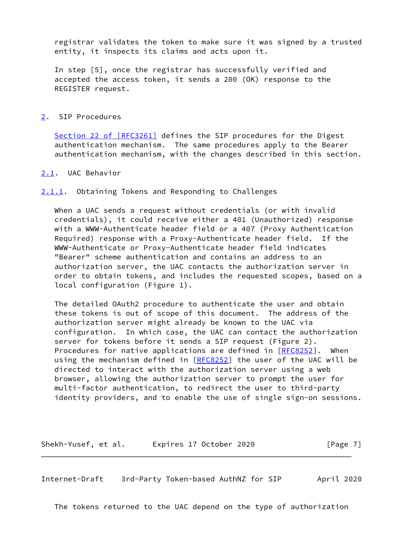registrar validates the token to make sure it was signed by a trusted entity, it inspects its claims and acts upon it.

 In step [5], once the registrar has successfully verified and accepted the access token, it sends a 200 (OK) response to the REGISTER request.

## <span id="page-7-0"></span>[2](#page-7-0). SIP Procedures

Section [22 of \[RFC3261\]](https://datatracker.ietf.org/doc/pdf/rfc3261#section-22) defines the SIP procedures for the Digest authentication mechanism. The same procedures apply to the Bearer authentication mechanism, with the changes described in this section.

### <span id="page-7-1"></span>[2.1](#page-7-1). UAC Behavior

### <span id="page-7-2"></span>[2.1.1](#page-7-2). Obtaining Tokens and Responding to Challenges

 When a UAC sends a request without credentials (or with invalid credentials), it could receive either a 401 (Unauthorized) response with a WWW-Authenticate header field or a 407 (Proxy Authentication Required) response with a Proxy-Authenticate header field. If the WWW-Authenticate or Proxy-Authenticate header field indicates "Bearer" scheme authentication and contains an address to an authorization server, the UAC contacts the authorization server in order to obtain tokens, and includes the requested scopes, based on a local configuration (Figure 1).

 The detailed OAuth2 procedure to authenticate the user and obtain these tokens is out of scope of this document. The address of the authorization server might already be known to the UAC via configuration. In which case, the UAC can contact the authorization server for tokens before it sends a SIP request (Figure 2). Procedures for native applications are defined in [[RFC8252](https://datatracker.ietf.org/doc/pdf/rfc8252)]. When using the mechanism defined in [\[RFC8252](https://datatracker.ietf.org/doc/pdf/rfc8252)] the user of the UAC will be directed to interact with the authorization server using a web browser, allowing the authorization server to prompt the user for multi-factor authentication, to redirect the user to third-party identity providers, and to enable the use of single sign-on sessions.

Shekh-Yusef, et al. Expires 17 October 2020 [Page 7]

<span id="page-7-3"></span>Internet-Draft 3rd-Party Token-based AuthNZ for SIP April 2020

The tokens returned to the UAC depend on the type of authorization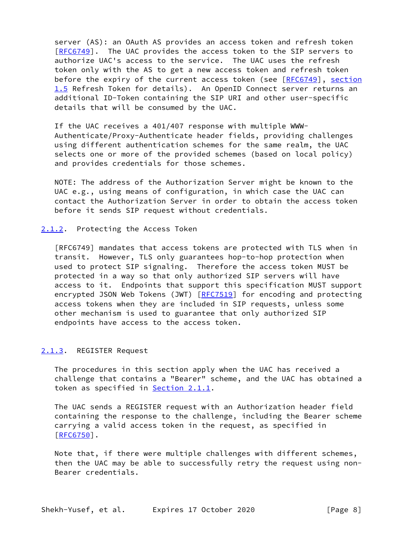server (AS): an OAuth AS provides an access token and refresh token [\[RFC6749](https://datatracker.ietf.org/doc/pdf/rfc6749)]. The UAC provides the access token to the SIP servers to authorize UAC's access to the service. The UAC uses the refresh token only with the AS to get a new access token and refresh token before the expiry of the current access token (see [[RFC6749\]](https://datatracker.ietf.org/doc/pdf/rfc6749), section 1.5 Refresh Token for details). An OpenID Connect server returns an additional ID-Token containing the SIP URI and other user-specific details that will be consumed by the UAC.

 If the UAC receives a 401/407 response with multiple WWW- Authenticate/Proxy-Authenticate header fields, providing challenges using different authentication schemes for the same realm, the UAC selects one or more of the provided schemes (based on local policy) and provides credentials for those schemes.

 NOTE: The address of the Authorization Server might be known to the UAC e.g., using means of configuration, in which case the UAC can contact the Authorization Server in order to obtain the access token before it sends SIP request without credentials.

#### <span id="page-8-0"></span>[2.1.2](#page-8-0). Protecting the Access Token

 [RFC6749] mandates that access tokens are protected with TLS when in transit. However, TLS only guarantees hop-to-hop protection when used to protect SIP signaling. Therefore the access token MUST be protected in a way so that only authorized SIP servers will have access to it. Endpoints that support this specification MUST support encrypted JSON Web Tokens (JWT) [\[RFC7519](https://datatracker.ietf.org/doc/pdf/rfc7519)] for encoding and protecting access tokens when they are included in SIP requests, unless some other mechanism is used to guarantee that only authorized SIP endpoints have access to the access token.

### <span id="page-8-1"></span>[2.1.3](#page-8-1). REGISTER Request

 The procedures in this section apply when the UAC has received a challenge that contains a "Bearer" scheme, and the UAC has obtained a token as specified in [Section 2.1.1.](#page-7-2)

 The UAC sends a REGISTER request with an Authorization header field containing the response to the challenge, including the Bearer scheme carrying a valid access token in the request, as specified in [\[RFC6750](https://datatracker.ietf.org/doc/pdf/rfc6750)].

 Note that, if there were multiple challenges with different schemes, then the UAC may be able to successfully retry the request using non- Bearer credentials.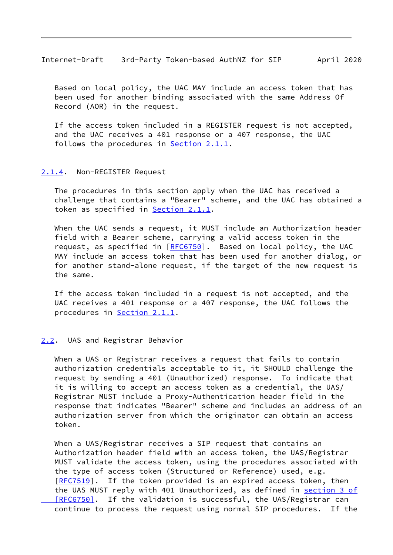<span id="page-9-1"></span>Internet-Draft 3rd-Party Token-based AuthNZ for SIP April 2020

 Based on local policy, the UAC MAY include an access token that has been used for another binding associated with the same Address Of Record (AOR) in the request.

 If the access token included in a REGISTER request is not accepted, and the UAC receives a 401 response or a 407 response, the UAC follows the procedures in [Section 2.1.1.](#page-7-2)

### <span id="page-9-0"></span>[2.1.4](#page-9-0). Non-REGISTER Request

 The procedures in this section apply when the UAC has received a challenge that contains a "Bearer" scheme, and the UAC has obtained a token as specified in **Section 2.1.1**.

 When the UAC sends a request, it MUST include an Authorization header field with a Bearer scheme, carrying a valid access token in the request, as specified in [\[RFC6750](https://datatracker.ietf.org/doc/pdf/rfc6750)]. Based on local policy, the UAC MAY include an access token that has been used for another dialog, or for another stand-alone request, if the target of the new request is the same.

 If the access token included in a request is not accepted, and the UAC receives a 401 response or a 407 response, the UAC follows the procedures in [Section 2.1.1.](#page-7-2)

#### <span id="page-9-2"></span>[2.2](#page-9-2). UAS and Registrar Behavior

 When a UAS or Registrar receives a request that fails to contain authorization credentials acceptable to it, it SHOULD challenge the request by sending a 401 (Unauthorized) response. To indicate that it is willing to accept an access token as a credential, the UAS/ Registrar MUST include a Proxy-Authentication header field in the response that indicates "Bearer" scheme and includes an address of an authorization server from which the originator can obtain an access token.

 When a UAS/Registrar receives a SIP request that contains an Authorization header field with an access token, the UAS/Registrar MUST validate the access token, using the procedures associated with the type of access token (Structured or Reference) used, e.g. [\[RFC7519](https://datatracker.ietf.org/doc/pdf/rfc7519)]. If the token provided is an expired access token, then the UAS MUST reply with 401 Unauthorized, as defined in [section](https://datatracker.ietf.org/doc/pdf/rfc6750#section-3) 3 of [RFC6750]. If the validation is successful, the UAS/Registrar can continue to process the request using normal SIP procedures. If the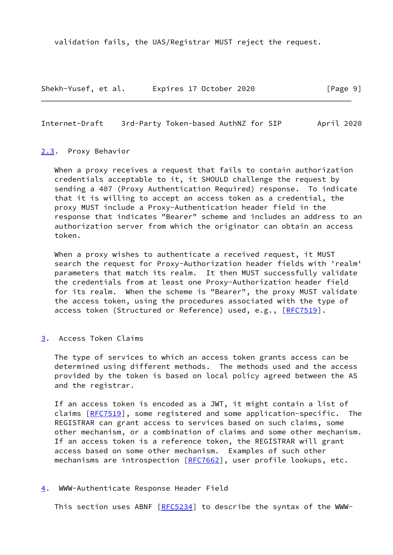validation fails, the UAS/Registrar MUST reject the request.

Shekh-Yusef, et al. Expires 17 October 2020 [Page 9]

<span id="page-10-1"></span>Internet-Draft 3rd-Party Token-based AuthNZ for SIP April 2020

#### <span id="page-10-0"></span>[2.3](#page-10-0). Proxy Behavior

 When a proxy receives a request that fails to contain authorization credentials acceptable to it, it SHOULD challenge the request by sending a 407 (Proxy Authentication Required) response. To indicate that it is willing to accept an access token as a credential, the proxy MUST include a Proxy-Authentication header field in the response that indicates "Bearer" scheme and includes an address to an authorization server from which the originator can obtain an access token.

When a proxy wishes to authenticate a received request, it MUST search the request for Proxy-Authorization header fields with 'realm' parameters that match its realm. It then MUST successfully validate the credentials from at least one Proxy-Authorization header field for its realm. When the scheme is "Bearer", the proxy MUST validate the access token, using the procedures associated with the type of access token (Structured or Reference) used, e.g., [[RFC7519\]](https://datatracker.ietf.org/doc/pdf/rfc7519).

<span id="page-10-2"></span>[3](#page-10-2). Access Token Claims

 The type of services to which an access token grants access can be determined using different methods. The methods used and the access provided by the token is based on local policy agreed between the AS and the registrar.

 If an access token is encoded as a JWT, it might contain a list of claims [\[RFC7519](https://datatracker.ietf.org/doc/pdf/rfc7519)], some registered and some application-specific. The REGISTRAR can grant access to services based on such claims, some other mechanism, or a combination of claims and some other mechanism. If an access token is a reference token, the REGISTRAR will grant access based on some other mechanism. Examples of such other mechanisms are introspection [\[RFC7662](https://datatracker.ietf.org/doc/pdf/rfc7662)], user profile lookups, etc.

#### <span id="page-10-3"></span>[4](#page-10-3). WWW-Authenticate Response Header Field

This section uses ABNF [\[RFC5234](https://datatracker.ietf.org/doc/pdf/rfc5234)] to describe the syntax of the WWW-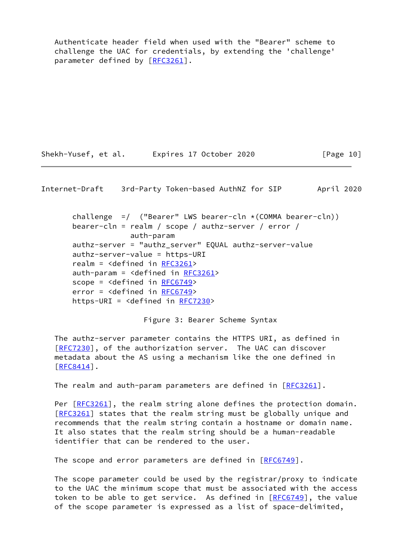Authenticate header field when used with the "Bearer" scheme to challenge the UAC for credentials, by extending the 'challenge' parameter defined by [\[RFC3261](https://datatracker.ietf.org/doc/pdf/rfc3261)].

Shekh-Yusef, et al. Expires 17 October 2020 [Page 10]

Internet-Draft 3rd-Party Token-based AuthNZ for SIP April 2020

challenge =/ ("Bearer" LWS bearer-cln  $\star$  (COMMA bearer-cln)) bearer-cln = realm / scope / authz-server / error / auth-param authz-server = "authz\_server" EQUAL authz-server-value authz-server-value = https-URI realm = <defined in [RFC3261](https://datatracker.ietf.org/doc/pdf/rfc3261)> auth-param =  $\triangleleft$ defined in [RFC3261](https://datatracker.ietf.org/doc/pdf/rfc3261)> scope = <defined in [RFC6749](https://datatracker.ietf.org/doc/pdf/rfc6749)> error = <defined in [RFC6749](https://datatracker.ietf.org/doc/pdf/rfc6749)> https-URI = <defined in [RFC7230>](https://datatracker.ietf.org/doc/pdf/rfc7230)

Figure 3: Bearer Scheme Syntax

 The authz-server parameter contains the HTTPS URI, as defined in [\[RFC7230](https://datatracker.ietf.org/doc/pdf/rfc7230)], of the authorization server. The UAC can discover metadata about the AS using a mechanism like the one defined in  $[REC8414]$ .

The realm and auth-param parameters are defined in  $[REC3261]$ .

Per [\[RFC3261](https://datatracker.ietf.org/doc/pdf/rfc3261)], the realm string alone defines the protection domain. [\[RFC3261](https://datatracker.ietf.org/doc/pdf/rfc3261)] states that the realm string must be globally unique and recommends that the realm string contain a hostname or domain name. It also states that the realm string should be a human-readable identifier that can be rendered to the user.

The scope and error parameters are defined in [[RFC6749](https://datatracker.ietf.org/doc/pdf/rfc6749)].

 The scope parameter could be used by the registrar/proxy to indicate to the UAC the minimum scope that must be associated with the access token to be able to get service. As defined in  $[REC6749]$ , the value of the scope parameter is expressed as a list of space-delimited,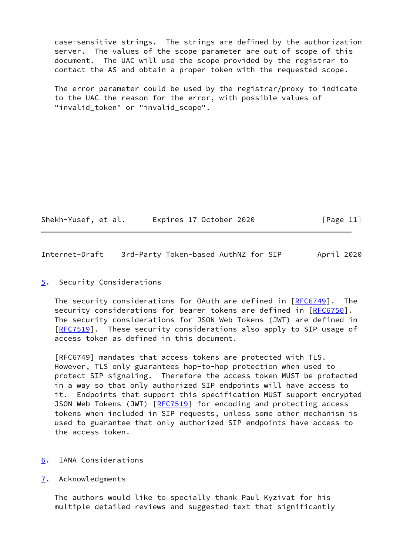case-sensitive strings. The strings are defined by the authorization server. The values of the scope parameter are out of scope of this document. The UAC will use the scope provided by the registrar to contact the AS and obtain a proper token with the requested scope.

 The error parameter could be used by the registrar/proxy to indicate to the UAC the reason for the error, with possible values of "invalid\_token" or "invalid\_scope".

Shekh-Yusef, et al. Expires 17 October 2020 [Page 11]

<span id="page-12-1"></span>Internet-Draft 3rd-Party Token-based AuthNZ for SIP April 2020

### <span id="page-12-0"></span>[5](#page-12-0). Security Considerations

The security considerations for OAuth are defined in  $[RECG749]$ . The security considerations for bearer tokens are defined in [\[RFC6750](https://datatracker.ietf.org/doc/pdf/rfc6750)]. The security considerations for JSON Web Tokens (JWT) are defined in [\[RFC7519](https://datatracker.ietf.org/doc/pdf/rfc7519)]. These security considerations also apply to SIP usage of access token as defined in this document.

 [RFC6749] mandates that access tokens are protected with TLS. However, TLS only guarantees hop-to-hop protection when used to protect SIP signaling. Therefore the access token MUST be protected in a way so that only authorized SIP endpoints will have access to it. Endpoints that support this specification MUST support encrypted JSON Web Tokens (JWT) [[RFC7519](https://datatracker.ietf.org/doc/pdf/rfc7519)] for encoding and protecting access tokens when included in SIP requests, unless some other mechanism is used to guarantee that only authorized SIP endpoints have access to the access token.

- <span id="page-12-2"></span>[6](#page-12-2). IANA Considerations
- <span id="page-12-3"></span>[7](#page-12-3). Acknowledgments

 The authors would like to specially thank Paul Kyzivat for his multiple detailed reviews and suggested text that significantly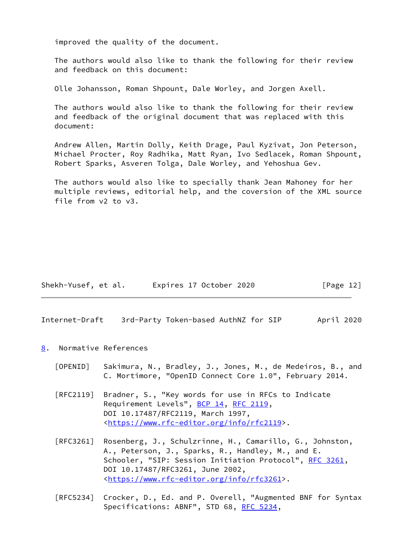improved the quality of the document.

 The authors would also like to thank the following for their review and feedback on this document:

Olle Johansson, Roman Shpount, Dale Worley, and Jorgen Axell.

 The authors would also like to thank the following for their review and feedback of the original document that was replaced with this document:

 Andrew Allen, Martin Dolly, Keith Drage, Paul Kyzivat, Jon Peterson, Michael Procter, Roy Radhika, Matt Ryan, Ivo Sedlacek, Roman Shpount, Robert Sparks, Asveren Tolga, Dale Worley, and Yehoshua Gev.

 The authors would also like to specially thank Jean Mahoney for her multiple reviews, editorial help, and the coversion of the XML source file from v2 to v3.

| Shekh-Yusef, et al. | Expires 17 October 2020 | [Page 12] |
|---------------------|-------------------------|-----------|
|---------------------|-------------------------|-----------|

<span id="page-13-1"></span>Internet-Draft 3rd-Party Token-based AuthNZ for SIP April 2020

#### <span id="page-13-0"></span>[8](#page-13-0). Normative References

- <span id="page-13-2"></span> [OPENID] Sakimura, N., Bradley, J., Jones, M., de Medeiros, B., and C. Mortimore, "OpenID Connect Core 1.0", February 2014.
- [RFC2119] Bradner, S., "Key words for use in RFCs to Indicate Requirement Levels", [BCP 14](https://datatracker.ietf.org/doc/pdf/bcp14), [RFC 2119](https://datatracker.ietf.org/doc/pdf/rfc2119), DOI 10.17487/RFC2119, March 1997, <[https://www.rfc-editor.org/info/rfc2119>](https://www.rfc-editor.org/info/rfc2119).
- [RFC3261] Rosenberg, J., Schulzrinne, H., Camarillo, G., Johnston, A., Peterson, J., Sparks, R., Handley, M., and E. Schooler, "SIP: Session Initiation Protocol", [RFC 3261](https://datatracker.ietf.org/doc/pdf/rfc3261), DOI 10.17487/RFC3261, June 2002, <[https://www.rfc-editor.org/info/rfc3261>](https://www.rfc-editor.org/info/rfc3261).
- [RFC5234] Crocker, D., Ed. and P. Overell, "Augmented BNF for Syntax Specifications: ABNF", STD 68, [RFC 5234](https://datatracker.ietf.org/doc/pdf/rfc5234),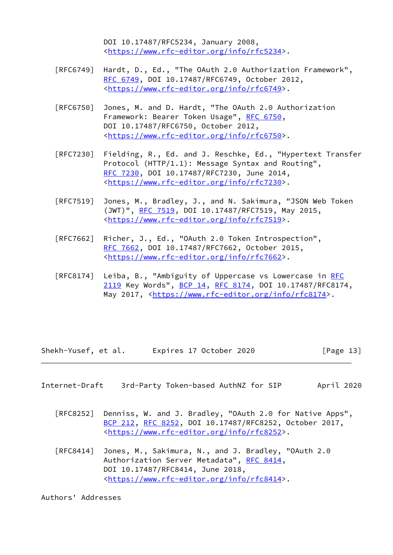DOI 10.17487/RFC5234, January 2008, <[https://www.rfc-editor.org/info/rfc5234>](https://www.rfc-editor.org/info/rfc5234).

- [RFC6749] Hardt, D., Ed., "The OAuth 2.0 Authorization Framework", [RFC 6749,](https://datatracker.ietf.org/doc/pdf/rfc6749) DOI 10.17487/RFC6749, October 2012, <[https://www.rfc-editor.org/info/rfc6749>](https://www.rfc-editor.org/info/rfc6749).
- [RFC6750] Jones, M. and D. Hardt, "The OAuth 2.0 Authorization Framework: Bearer Token Usage", [RFC 6750,](https://datatracker.ietf.org/doc/pdf/rfc6750) DOI 10.17487/RFC6750, October 2012, <[https://www.rfc-editor.org/info/rfc6750>](https://www.rfc-editor.org/info/rfc6750).
- [RFC7230] Fielding, R., Ed. and J. Reschke, Ed., "Hypertext Transfer Protocol (HTTP/1.1): Message Syntax and Routing", [RFC 7230,](https://datatracker.ietf.org/doc/pdf/rfc7230) DOI 10.17487/RFC7230, June 2014, <[https://www.rfc-editor.org/info/rfc7230>](https://www.rfc-editor.org/info/rfc7230).
- [RFC7519] Jones, M., Bradley, J., and N. Sakimura, "JSON Web Token (JWT)", [RFC 7519,](https://datatracker.ietf.org/doc/pdf/rfc7519) DOI 10.17487/RFC7519, May 2015, <[https://www.rfc-editor.org/info/rfc7519>](https://www.rfc-editor.org/info/rfc7519).
- [RFC7662] Richer, J., Ed., "OAuth 2.0 Token Introspection", [RFC 7662,](https://datatracker.ietf.org/doc/pdf/rfc7662) DOI 10.17487/RFC7662, October 2015, <[https://www.rfc-editor.org/info/rfc7662>](https://www.rfc-editor.org/info/rfc7662).
- [RFC8174] Leiba, B., "Ambiguity of Uppercase vs Lowercase in [RFC](https://datatracker.ietf.org/doc/pdf/rfc2119) [2119](https://datatracker.ietf.org/doc/pdf/rfc2119) Key Words", [BCP 14](https://datatracker.ietf.org/doc/pdf/bcp14), [RFC 8174,](https://datatracker.ietf.org/doc/pdf/rfc8174) DOI 10.17487/RFC8174, May 2017, [<https://www.rfc-editor.org/info/rfc8174](https://www.rfc-editor.org/info/rfc8174)>.

Shekh-Yusef, et al. Expires 17 October 2020 [Page 13]

- <span id="page-14-0"></span>Internet-Draft 3rd-Party Token-based AuthNZ for SIP April 2020
	- [RFC8252] Denniss, W. and J. Bradley, "OAuth 2.0 for Native Apps", [BCP 212](https://datatracker.ietf.org/doc/pdf/bcp212), [RFC 8252,](https://datatracker.ietf.org/doc/pdf/rfc8252) DOI 10.17487/RFC8252, October 2017, <[https://www.rfc-editor.org/info/rfc8252>](https://www.rfc-editor.org/info/rfc8252).
	- [RFC8414] Jones, M., Sakimura, N., and J. Bradley, "OAuth 2.0 Authorization Server Metadata", [RFC 8414,](https://datatracker.ietf.org/doc/pdf/rfc8414) DOI 10.17487/RFC8414, June 2018, <[https://www.rfc-editor.org/info/rfc8414>](https://www.rfc-editor.org/info/rfc8414).

Authors' Addresses